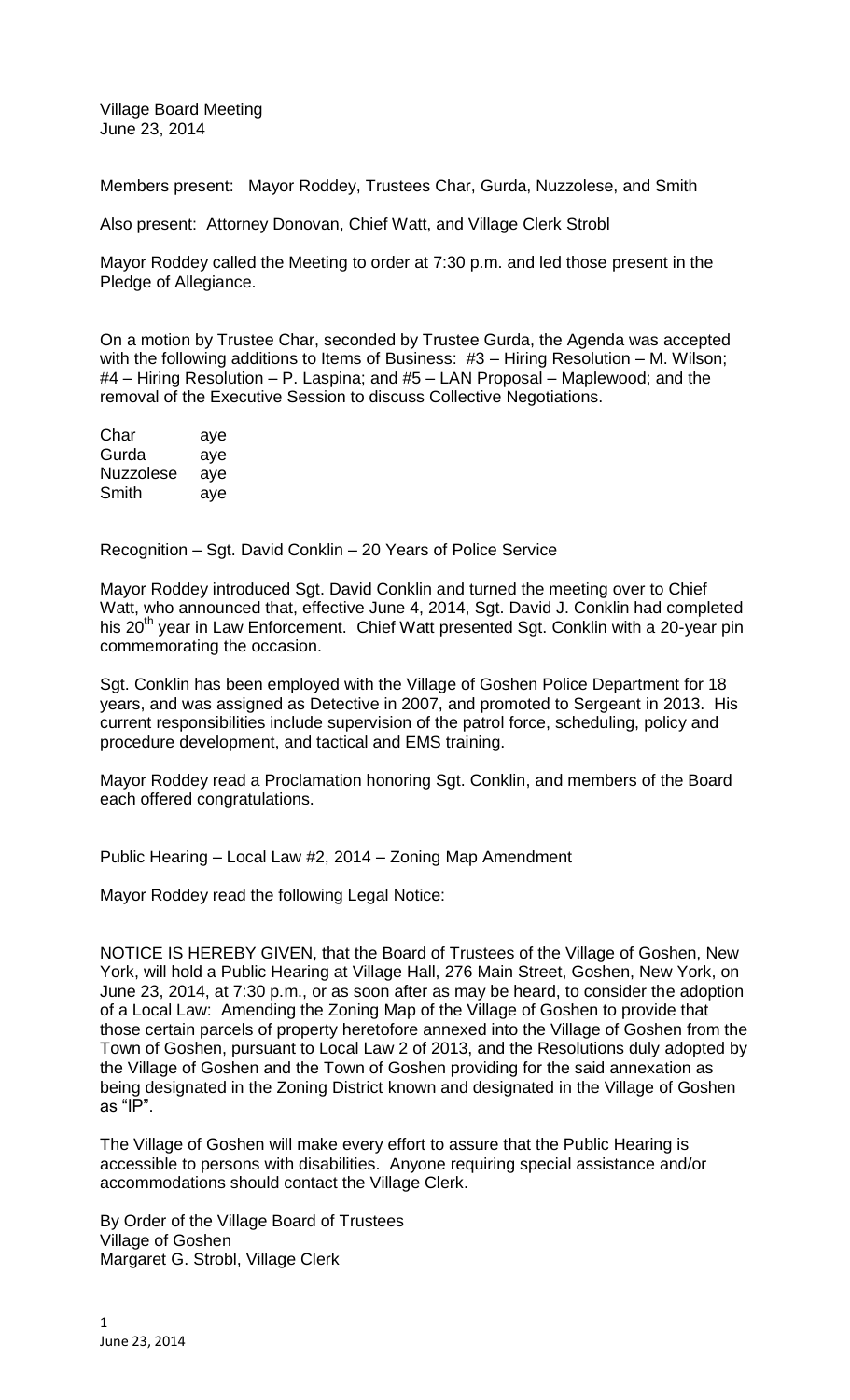Village Board Meeting June 23, 2014

Members present: Mayor Roddey, Trustees Char, Gurda, Nuzzolese, and Smith

Also present: Attorney Donovan, Chief Watt, and Village Clerk Strobl

Mayor Roddey called the Meeting to order at 7:30 p.m. and led those present in the Pledge of Allegiance.

On a motion by Trustee Char, seconded by Trustee Gurda, the Agenda was accepted with the following additions to Items of Business: #3 – Hiring Resolution – M. Wilson; #4 – Hiring Resolution – P. Laspina; and #5 – LAN Proposal – Maplewood; and the removal of the Executive Session to discuss Collective Negotiations.

| Char      | aye |
|-----------|-----|
| Gurda     | aye |
| Nuzzolese | aye |
| Smith     | aye |

Recognition – Sgt. David Conklin – 20 Years of Police Service

Mayor Roddey introduced Sgt. David Conklin and turned the meeting over to Chief Watt, who announced that, effective June 4, 2014, Sgt. David J. Conklin had completed his 20<sup>th</sup> year in Law Enforcement. Chief Watt presented Sgt. Conklin with a 20-year pin commemorating the occasion.

Sgt. Conklin has been employed with the Village of Goshen Police Department for 18 years, and was assigned as Detective in 2007, and promoted to Sergeant in 2013. His current responsibilities include supervision of the patrol force, scheduling, policy and procedure development, and tactical and EMS training.

Mayor Roddey read a Proclamation honoring Sgt. Conklin, and members of the Board each offered congratulations.

Public Hearing – Local Law #2, 2014 – Zoning Map Amendment

Mayor Roddey read the following Legal Notice:

NOTICE IS HEREBY GIVEN, that the Board of Trustees of the Village of Goshen, New York, will hold a Public Hearing at Village Hall, 276 Main Street, Goshen, New York, on June 23, 2014, at 7:30 p.m., or as soon after as may be heard, to consider the adoption of a Local Law: Amending the Zoning Map of the Village of Goshen to provide that those certain parcels of property heretofore annexed into the Village of Goshen from the Town of Goshen, pursuant to Local Law 2 of 2013, and the Resolutions duly adopted by the Village of Goshen and the Town of Goshen providing for the said annexation as being designated in the Zoning District known and designated in the Village of Goshen as "IP".

The Village of Goshen will make every effort to assure that the Public Hearing is accessible to persons with disabilities. Anyone requiring special assistance and/or accommodations should contact the Village Clerk.

By Order of the Village Board of Trustees Village of Goshen Margaret G. Strobl, Village Clerk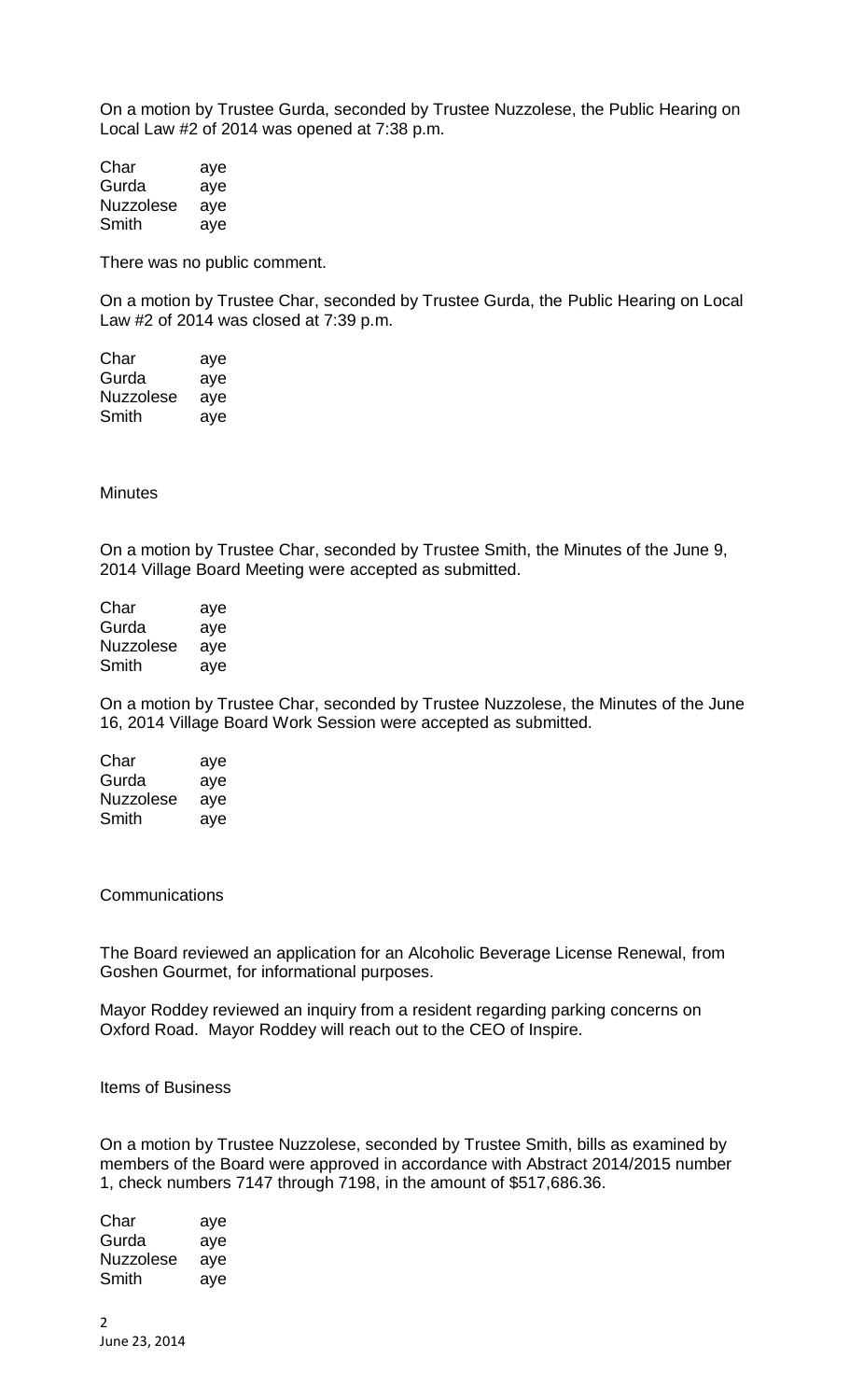On a motion by Trustee Gurda, seconded by Trustee Nuzzolese, the Public Hearing on Local Law #2 of 2014 was opened at 7:38 p.m.

Char aye Gurda ave Nuzzolese aye Smith aye

There was no public comment.

On a motion by Trustee Char, seconded by Trustee Gurda, the Public Hearing on Local Law #2 of 2014 was closed at 7:39 p.m.

Char aye Gurda aye Nuzzolese aye Smith aye

**Minutes** 

On a motion by Trustee Char, seconded by Trustee Smith, the Minutes of the June 9, 2014 Village Board Meeting were accepted as submitted.

| Char      | aye |
|-----------|-----|
| Gurda     | aye |
| Nuzzolese | aye |
| Smith     | aye |

On a motion by Trustee Char, seconded by Trustee Nuzzolese, the Minutes of the June 16, 2014 Village Board Work Session were accepted as submitted.

| Char      | aye |
|-----------|-----|
| Gurda     | aye |
| Nuzzolese | ave |
| Smith     | aye |

**Communications** 

The Board reviewed an application for an Alcoholic Beverage License Renewal, from Goshen Gourmet, for informational purposes.

Mayor Roddey reviewed an inquiry from a resident regarding parking concerns on Oxford Road. Mayor Roddey will reach out to the CEO of Inspire.

## Items of Business

On a motion by Trustee Nuzzolese, seconded by Trustee Smith, bills as examined by members of the Board were approved in accordance with Abstract 2014/2015 number 1, check numbers 7147 through 7198, in the amount of \$517,686.36.

Char aye Gurda aye Nuzzolese aye Smith aye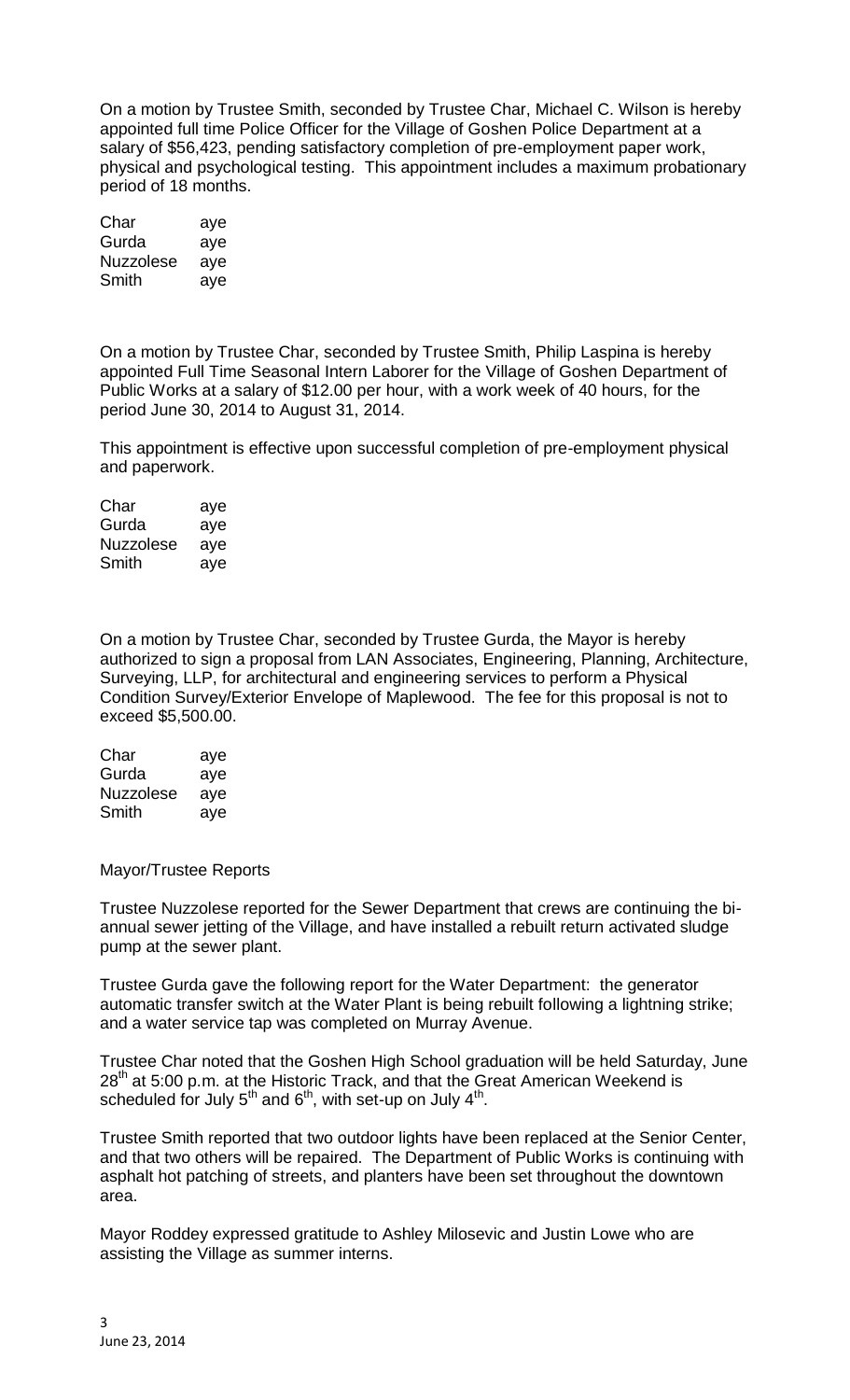On a motion by Trustee Smith, seconded by Trustee Char, Michael C. Wilson is hereby appointed full time Police Officer for the Village of Goshen Police Department at a salary of \$56,423, pending satisfactory completion of pre-employment paper work, physical and psychological testing. This appointment includes a maximum probationary period of 18 months.

| Char      | aye |
|-----------|-----|
| Gurda     | aye |
| Nuzzolese | aye |
| Smith     | aye |

On a motion by Trustee Char, seconded by Trustee Smith, Philip Laspina is hereby appointed Full Time Seasonal Intern Laborer for the Village of Goshen Department of Public Works at a salary of \$12.00 per hour, with a work week of 40 hours, for the period June 30, 2014 to August 31, 2014.

This appointment is effective upon successful completion of pre-employment physical and paperwork.

| Char             | aye |
|------------------|-----|
| Gurda            | aye |
| <b>Nuzzolese</b> | ave |
| Smith            | aye |

On a motion by Trustee Char, seconded by Trustee Gurda, the Mayor is hereby authorized to sign a proposal from LAN Associates, Engineering, Planning, Architecture, Surveying, LLP, for architectural and engineering services to perform a Physical Condition Survey/Exterior Envelope of Maplewood. The fee for this proposal is not to exceed \$5,500.00.

| Char             | aye |
|------------------|-----|
| Gurda            | aye |
| <b>Nuzzolese</b> | aye |
| Smith            | ave |

Mayor/Trustee Reports

Trustee Nuzzolese reported for the Sewer Department that crews are continuing the biannual sewer jetting of the Village, and have installed a rebuilt return activated sludge pump at the sewer plant.

Trustee Gurda gave the following report for the Water Department: the generator automatic transfer switch at the Water Plant is being rebuilt following a lightning strike; and a water service tap was completed on Murray Avenue.

Trustee Char noted that the Goshen High School graduation will be held Saturday, June  $28<sup>th</sup>$  at 5:00 p.m. at the Historic Track, and that the Great American Weekend is scheduled for July 5<sup>th</sup> and 6<sup>th</sup>, with set-up on July 4<sup>th</sup>.

Trustee Smith reported that two outdoor lights have been replaced at the Senior Center, and that two others will be repaired. The Department of Public Works is continuing with asphalt hot patching of streets, and planters have been set throughout the downtown area.

Mayor Roddey expressed gratitude to Ashley Milosevic and Justin Lowe who are assisting the Village as summer interns.